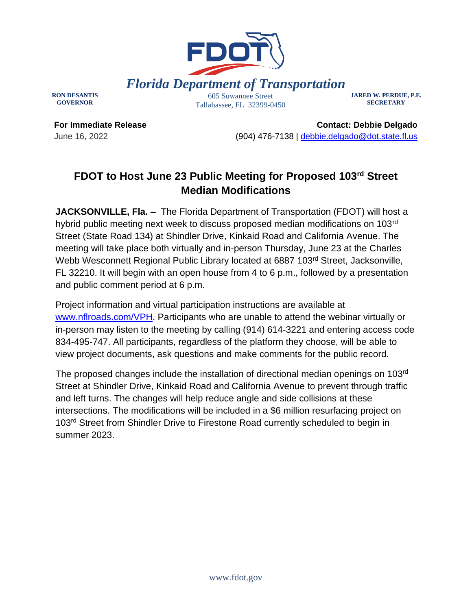

**RON DESANTIS GOVERNOR**

Tallahassee, FL 32399-0450

**JARED W. PERDUE, P.E. SECRETARY**

**For Immediate Release** June 16, 2022

**Contact: Debbie Delgado** (904) 476-7138 | [debbie.delgado@dot.state.fl.us](mailto:debbie.delgado@dot.state.fl.us) 

## **FDOT to Host June 23 Public Meeting for Proposed 103rd Street Median Modifications**

**JACKSONVILLE, Fla. –** The Florida Department of Transportation (FDOT) will host a hybrid public meeting next week to discuss proposed median modifications on 103rd Street (State Road 134) at Shindler Drive, Kinkaid Road and California Avenue. The meeting will take place both virtually and in-person Thursday, June 23 at the Charles Webb Wesconnett Regional Public Library located at 6887 103<sup>rd</sup> Street, Jacksonville, FL 32210. It will begin with an open house from 4 to 6 p.m., followed by a presentation and public comment period at 6 p.m.

Project information and virtual participation instructions are available at [www.nflroads.com/VPH.](https://gcc02.safelinks.protection.outlook.com/?url=http%3A%2F%2Fwww.nflroads.com%2FVPH&data=04%7C01%7CDebbie.Delgado%40dot.state.fl.us%7C04254a5636f54f81e74c08da134176b8%7Cdb21de5dbc9c420c8f3f8f08f85b5ada%7C0%7C0%7C637843469132054713%7CUnknown%7CTWFpbGZsb3d8eyJWIjoiMC4wLjAwMDAiLCJQIjoiV2luMzIiLCJBTiI6Ik1haWwiLCJXVCI6Mn0%3D%7C3000&sdata=74fKDr2DkhZIMzSiNVdU1OzzqUU4fExfvZ3lD1R0TxQ%3D&reserved=0) Participants who are unable to attend the webinar virtually or in-person may listen to the meeting by calling (914) 614-3221 and entering access code 834-495-747. All participants, regardless of the platform they choose, will be able to view project documents, ask questions and make comments for the public record.

The proposed changes include the installation of directional median openings on 103rd Street at Shindler Drive, Kinkaid Road and California Avenue to prevent through traffic and left turns. The changes will help reduce angle and side collisions at these intersections. The modifications will be included in a \$6 million resurfacing project on 103rd Street from Shindler Drive to Firestone Road currently scheduled to begin in summer 2023.